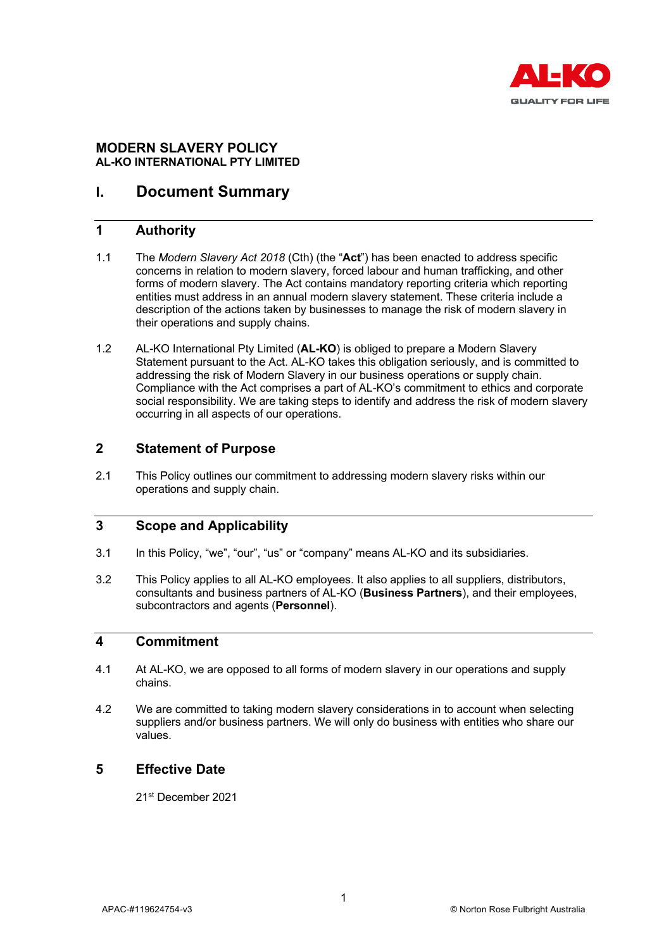

## **MODERN SLAVERY POLICY AL-KO INTERNATIONAL PTY LIMITED**

# **I. Document Summary**

### **1 Authority**

- 1.1 The *Modern Slavery Act 2018* (Cth) (the "**Act**") has been enacted to address specific concerns in relation to modern slavery, forced labour and human trafficking, and other forms of modern slavery. The Act contains mandatory reporting criteria which reporting entities must address in an annual modern slavery statement. These criteria include a description of the actions taken by businesses to manage the risk of modern slavery in their operations and supply chains.
- 1.2 AL-KO International Pty Limited (**AL-KO**) is obliged to prepare a Modern Slavery Statement pursuant to the Act. AL-KO takes this obligation seriously, and is committed to addressing the risk of Modern Slavery in our business operations or supply chain. Compliance with the Act comprises a part of AL-KO's commitment to ethics and corporate social responsibility. We are taking steps to identify and address the risk of modern slavery occurring in all aspects of our operations.

## **2 Statement of Purpose**

2.1 This Policy outlines our commitment to addressing modern slavery risks within our operations and supply chain.

### **3 Scope and Applicability**

- 3.1 In this Policy, "we", "our", "us" or "company" means AL-KO and its subsidiaries.
- 3.2 This Policy applies to all AL-KO employees. It also applies to all suppliers, distributors, consultants and business partners of AL-KO (**Business Partners**), and their employees, subcontractors and agents (**Personnel**).

### **4 Commitment**

- 4.1 At AL-KO, we are opposed to all forms of modern slavery in our operations and supply chains.
- 4.2 We are committed to taking modern slavery considerations in to account when selecting suppliers and/or business partners. We will only do business with entities who share our values.

## **5 Effective Date**

21st December 2021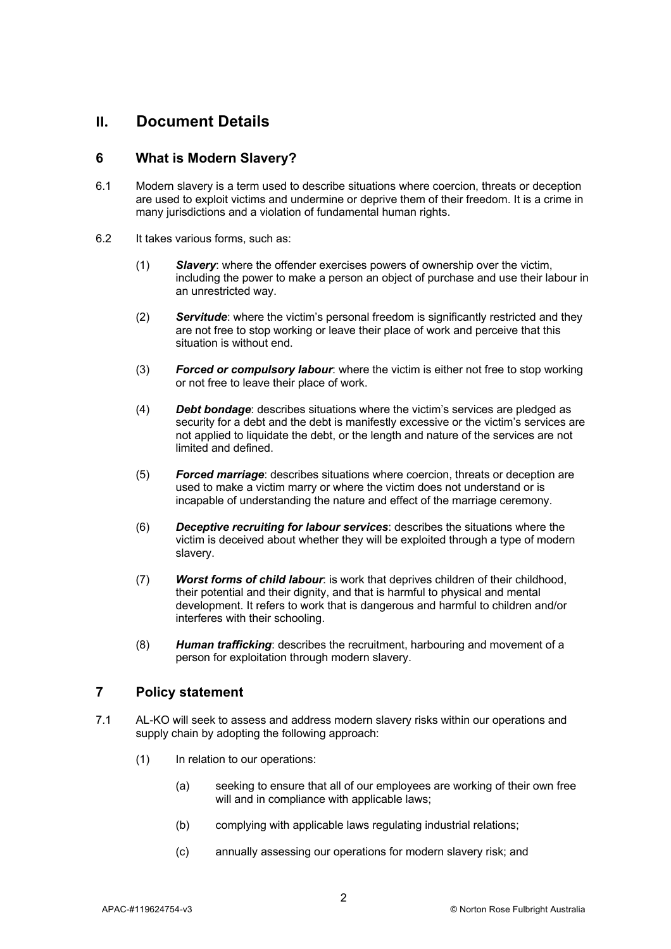# **II. Document Details**

## **6 What is Modern Slavery?**

- 6.1 Modern slavery is a term used to describe situations where coercion, threats or deception are used to exploit victims and undermine or deprive them of their freedom. It is a crime in many jurisdictions and a violation of fundamental human rights.
- 6.2 It takes various forms, such as:
	- (1) *Slavery*: where the offender exercises powers of ownership over the victim, including the power to make a person an object of purchase and use their labour in an unrestricted way.
	- (2) *Servitude*: where the victim's personal freedom is significantly restricted and they are not free to stop working or leave their place of work and perceive that this situation is without end.
	- (3) *Forced or compulsory labour*: where the victim is either not free to stop working or not free to leave their place of work.
	- (4) *Debt bondage*: describes situations where the victim's services are pledged as security for a debt and the debt is manifestly excessive or the victim's services are not applied to liquidate the debt, or the length and nature of the services are not limited and defined.
	- (5) *Forced marriage*: describes situations where coercion, threats or deception are used to make a victim marry or where the victim does not understand or is incapable of understanding the nature and effect of the marriage ceremony.
	- (6) *Deceptive recruiting for labour services*: describes the situations where the victim is deceived about whether they will be exploited through a type of modern slavery.
	- (7) *Worst forms of child labour*: is work that deprives children of their childhood, their potential and their dignity, and that is harmful to physical and mental development. It refers to work that is dangerous and harmful to children and/or interferes with their schooling.
	- (8) *Human trafficking*: describes the recruitment, harbouring and movement of a person for exploitation through modern slavery.

### **7 Policy statement**

- 7.1 AL-KO will seek to assess and address modern slavery risks within our operations and supply chain by adopting the following approach:
	- (1) In relation to our operations:
		- (a) seeking to ensure that all of our employees are working of their own free will and in compliance with applicable laws;
		- (b) complying with applicable laws regulating industrial relations;
		- (c) annually assessing our operations for modern slavery risk; and